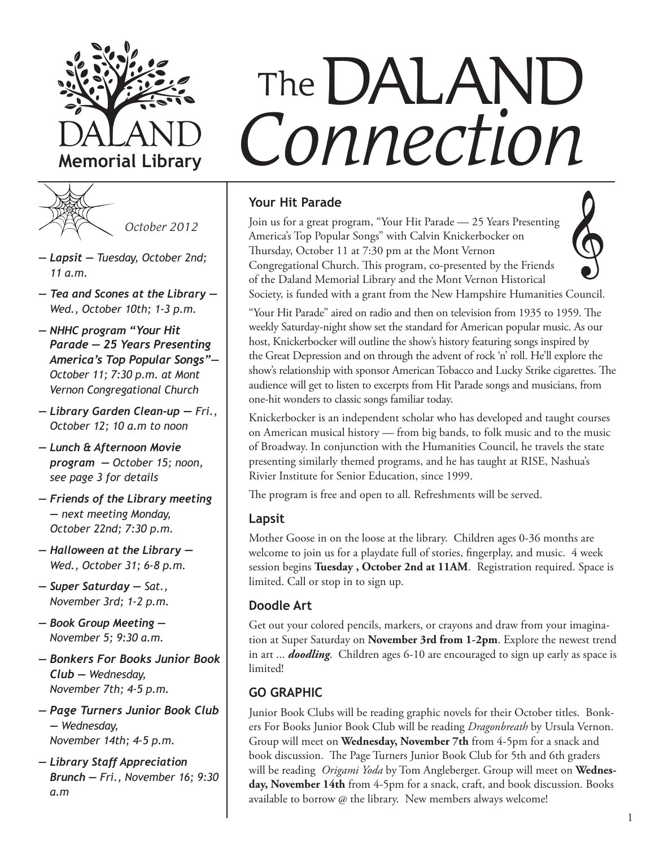



- *Lapsit Tuesday, October 2nd; 11 a.m.*
- *Tea and Scones at the Library Wed., October 10th; 1-3 p.m.*
- *NHHC program "Your Hit Parade — 25 Years Presenting America's Top Popular Songs"— October 11; 7:30 p.m. at Mont Vernon Congregational Church*
- *Library Garden Clean-up Fri., October 12; 10 a.m to noon*
- *Lunch & Afternoon Movie program — October 15; noon, see page 3 for details*
- *Friends of the Library meeting — next meeting Monday, October 22nd; 7:30 p.m.*
- *Halloween at the Library Wed., October 31; 6-8 p.m.*
- *Super Saturday — Sat., November 3rd; 1-2 p.m.*
- *Book Group Meeting November 5; 9:30 a.m.*
- *Bonkers For Books Junior Book Club — Wednesday, November 7th; 4-5 p.m.*
- *Page Turners Junior Book Club — Wednesday, November 14th; 4-5 p.m.*
- *Library Staff Appreciation Brunch — Fri., November 16; 9:30 a.m*

# *Connection* The DALAND

# **Your Hit Parade**

Join us for a great program, "Your Hit Parade — 25 Years Presenting America's Top Popular Songs" with Calvin Knickerbocker on Thursday, October 11 at 7:30 pm at the Mont Vernon Congregational Church. This program, co-presented by the Friends of the Daland Memorial Library and the Mont Vernon Historical



Society, is funded with a grant from the New Hampshire Humanities Council.

"Your Hit Parade" aired on radio and then on television from 1935 to 1959. The weekly Saturday-night show set the standard for American popular music. As our host, Knickerbocker will outline the show's history featuring songs inspired by the Great Depression and on through the advent of rock 'n' roll. He'll explore the show's relationship with sponsor American Tobacco and Lucky Strike cigarettes. The audience will get to listen to excerpts from Hit Parade songs and musicians, from one-hit wonders to classic songs familiar today.

Knickerbocker is an independent scholar who has developed and taught courses on American musical history — from big bands, to folk music and to the music of Broadway. In conjunction with the Humanities Council, he travels the state presenting similarly themed programs, and he has taught at RISE, Nashua's Rivier Institute for Senior Education, since 1999.

The program is free and open to all. Refreshments will be served.

# **Lapsit**

Mother Goose in on the loose at the library. Children ages 0-36 months are welcome to join us for a playdate full of stories, fingerplay, and music. 4 week session begins **Tuesday , October 2nd at 11AM**. Registration required. Space is limited. Call or stop in to sign up.

# **Doodle Art**

Get out your colored pencils, markers, or crayons and draw from your imagination at Super Saturday on **November 3rd from 1-2pm**. Explore the newest trend in art ... *doodling*. Children ages 6-10 are encouraged to sign up early as space is limited!

# **GO GRAPHIC**

Junior Book Clubs will be reading graphic novels for their October titles. Bonkers For Books Junior Book Club will be reading *Dragonbreath* by Ursula Vernon. Group will meet on **Wednesday, November 7th** from 4-5pm for a snack and book discussion. The Page Turners Junior Book Club for 5th and 6th graders will be reading *Origami Yoda* by Tom Angleberger. Group will meet on **Wednesday, November 14th** from 4-5pm for a snack, craft, and book discussion. Books available to borrow @ the library. New members always welcome!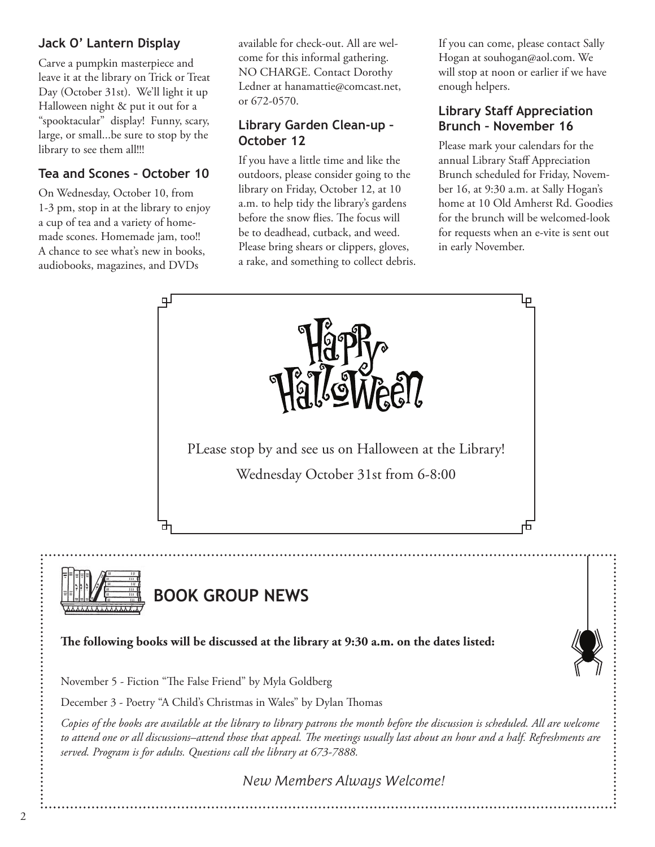# **Jack O' Lantern Display**

Carve a pumpkin masterpiece and leave it at the library on Trick or Treat Day (October 31st). We'll light it up Halloween night & put it out for a "spooktacular" display! Funny, scary, large, or small...be sure to stop by the library to see them all!!!

# **Tea and Scones – October 10**

On Wednesday, October 10, from 1-3 pm, stop in at the library to enjoy a cup of tea and a variety of homemade scones. Homemade jam, too!! A chance to see what's new in books, audiobooks, magazines, and DVDs

available for check-out. All are welcome for this informal gathering. NO CHARGE. Contact Dorothy Ledner at hanamattie@comcast.net, or 672-0570.

# **Library Garden Clean-up – October 12**

If you have a little time and like the outdoors, please consider going to the library on Friday, October 12, at 10 a.m. to help tidy the library's gardens before the snow flies. The focus will be to deadhead, cutback, and weed. Please bring shears or clippers, gloves, a rake, and something to collect debris. If you can come, please contact Sally Hogan at souhogan@aol.com. We will stop at noon or earlier if we have enough helpers.

# **Library Staff Appreciation Brunch – November 16**

Please mark your calendars for the annual Library Staff Appreciation Brunch scheduled for Friday, November 16, at 9:30 a.m. at Sally Hogan's home at 10 Old Amherst Rd. Goodies for the brunch will be welcomed-look for requests when an e-vite is sent out in early November.

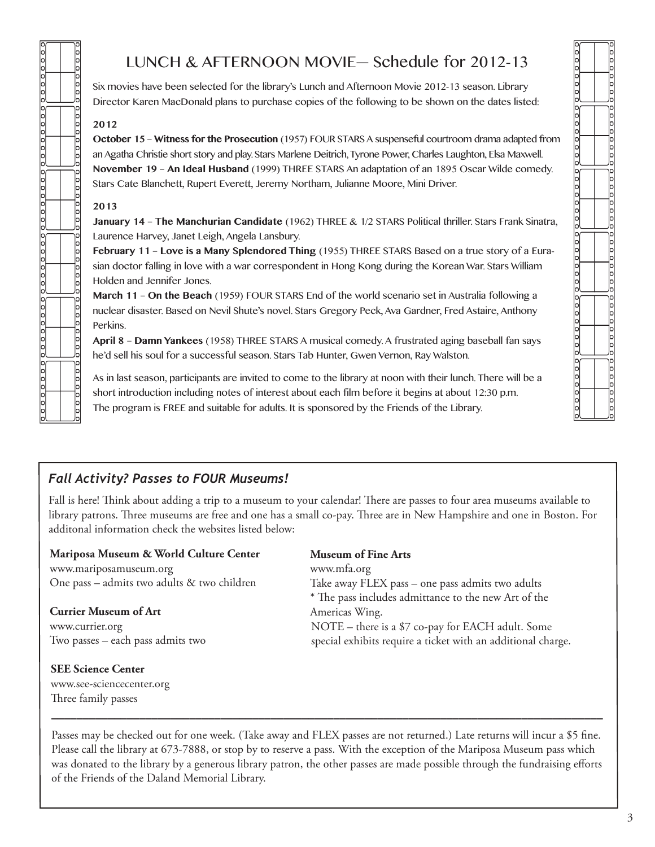# LUNCH & AFTERNOON MOVIE— Schedule for 2012-13

Six movies have been selected for the library's Lunch and Afternoon Movie 2012-13 season. Library Director Karen MacDonald plans to purchase copies of the following to be shown on the dates listed:

### **2012**

poog

 $\frac{1}{2}$ 

pool

po o o o o o o

poooooo

 $\frac{1}{2}$ 

 $\frac{1}{2}$ 

 $\frac{1}{2}$ 

]e<br>lo

lо

 $\frac{1}{2}$ 

 $0000$ 

 $000$ 

00000000

00000000

00000000

 $\frac{1}{2}$ 

000

**October 15** – **Witness for the Prosecution** (1957) FOUR STARS A suspenseful courtroom drama adapted from an Agatha Christie short story and play. Stars Marlene Deitrich, Tyrone Power, Charles Laughton, Elsa Maxwell. **November 19** – **An Ideal Husband** (1999) THREE STARS An adaptation of an 1895 Oscar Wilde comedy. Stars Cate Blanchett, Rupert Everett, Jeremy Northam, Julianne Moore, Mini Driver.

### **2013**

www.see-sciencecenter.org Three family passes

**January 14** – **The Manchurian Candidate** (1962) THREE & 1/2 STARS Political thriller. Stars Frank Sinatra, Laurence Harvey, Janet Leigh, Angela Lansbury.

**February 11** – **Love is a Many Splendored Thing** (1955) THREE STARS Based on a true story of a Eurasian doctor falling in love with a war correspondent in Hong Kong during the Korean War. Stars William Holden and Jennifer Jones.

**March 11** – **On the Beach** (1959) FOUR STARS End of the world scenario set in Australia following a nuclear disaster. Based on Nevil Shute's novel. Stars Gregory Peck, Ava Gardner, Fred Astaire, Anthony Perkins.

**April 8** – **Damn Yankees** (1958) THREE STARS A musical comedy. A frustrated aging baseball fan says he'd sell his soul for a successful season. Stars Tab Hunter, Gwen Vernon, Ray Walston.

As in last season, participants are invited to come to the library at noon with their lunch. There will be a short introduction including notes of interest about each film before it begins at about 12:30 p.m. The program is FREE and suitable for adults. It is sponsored by the Friends of the Library.

# *Fall Activity? Passes to FOUR Museums!*

Fall is here! Think about adding a trip to a museum to your calendar! There are passes to four area museums available to library patrons. Three museums are free and one has a small co-pay. Three are in New Hampshire and one in Boston. For additonal information check the websites listed below:

| Mariposa Museum & World Culture Center      | <b>Museum of Fine Arts</b>                                   |
|---------------------------------------------|--------------------------------------------------------------|
| www.mariposamuseum.org                      | www.mfa.org                                                  |
| One pass - admits two adults & two children | Take away FLEX pass – one pass admits two adults             |
|                                             | * The pass includes admittance to the new Art of the         |
| <b>Currier Museum of Art</b>                | Americas Wing.                                               |
| www.currier.org                             | NOTE – there is a \$7 co-pay for EACH adult. Some            |
| Two passes – each pass admits two           | special exhibits require a ticket with an additional charge. |
| <b>SEE Science Center</b>                   |                                                              |

Passes may be checked out for one week. (Take away and FLEX passes are not returned.) Late returns will incur a \$5 fine. Please call the library at 673-7888, or stop by to reserve a pass. With the exception of the Mariposa Museum pass which was donated to the library by a generous library patron, the other passes are made possible through the fundraising efforts of the Friends of the Daland Memorial Library.

*\_\_\_\_\_\_\_\_\_\_\_\_\_\_\_\_\_\_\_\_\_\_\_\_\_\_\_\_\_\_\_\_\_\_\_\_\_\_\_\_\_\_\_\_\_\_\_\_\_\_\_\_\_\_\_\_\_\_\_\_\_\_\_\_\_\_\_\_\_\_\_\_\_\_\_\_\_\_\_\_\_\_\_\_\_\_\_\_*

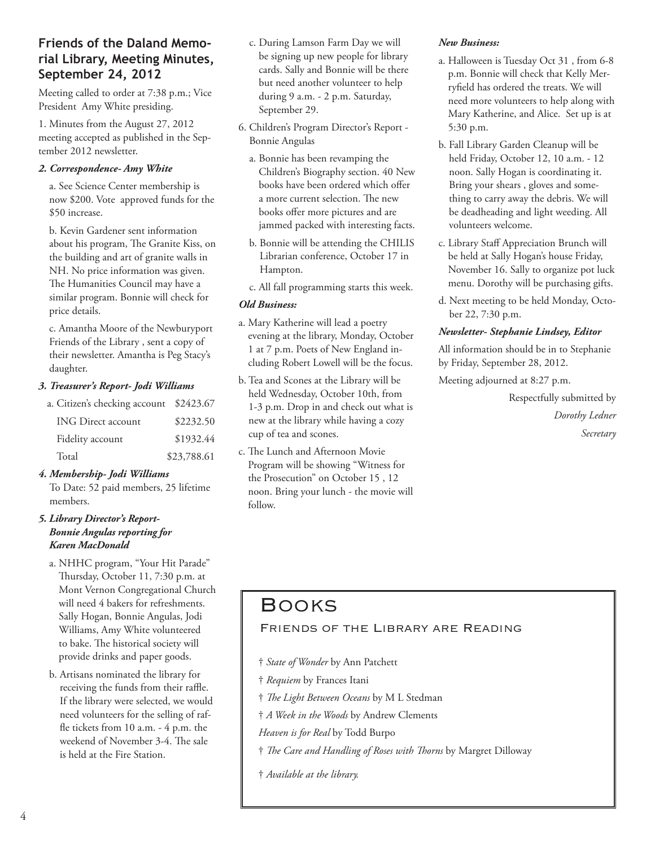# **Friends of the Daland Memorial Library, Meeting Minutes, September 24, 2012**

Meeting called to order at 7:38 p.m.; Vice President Amy White presiding.

1. Minutes from the August 27, 2012 meeting accepted as published in the September 2012 newsletter.

### *2. Correspondence- Amy White*

a. See Science Center membership is now \$200. Vote approved funds for the \$50 increase.

b. Kevin Gardener sent information about his program, The Granite Kiss, on the building and art of granite walls in NH. No price information was given. The Humanities Council may have a similar program. Bonnie will check for price details.

c. Amantha Moore of the Newburyport Friends of the Library , sent a copy of their newsletter. Amantha is Peg Stacy's daughter.

### *3. Treasurer's Report- Jodi Williams*

| a. Citizen's checking account \$2423.67 |             |
|-----------------------------------------|-------------|
| <b>ING Direct account</b>               | \$2232.50   |
| Fidelity account                        | \$1932.44   |
| Total                                   | \$23,788.61 |

### *4. Membership- Jodi Williams*

To Date: 52 paid members, 25 lifetime members.

### *5. Library Director's Report-Bonnie Angulas reporting for Karen MacDonald*

- a. NHHC program, "Your Hit Parade" Thursday, October 11, 7:30 p.m. at Mont Vernon Congregational Church will need 4 bakers for refreshments. Sally Hogan, Bonnie Angulas, Jodi Williams, Amy White volunteered to bake. The historical society will provide drinks and paper goods.
- b. Artisans nominated the library for receiving the funds from their raffle. If the library were selected, we would need volunteers for the selling of raffle tickets from 10 a.m. - 4 p.m. the weekend of November 3-4. The sale is held at the Fire Station.
- c. During Lamson Farm Day we will be signing up new people for library cards. Sally and Bonnie will be there but need another volunteer to help during 9 a.m. - 2 p.m. Saturday, September 29.
- 6. Children's Program Director's Report Bonnie Angulas
	- a. Bonnie has been revamping the Children's Biography section. 40 New books have been ordered which offer a more current selection. The new books offer more pictures and are jammed packed with interesting facts.
	- b. Bonnie will be attending the CHILIS Librarian conference, October 17 in Hampton.
	- c. All fall programming starts this week.

### *Old Business:*

- a. Mary Katherine will lead a poetry evening at the library, Monday, October 1 at 7 p.m. Poets of New England including Robert Lowell will be the focus.
- b. Tea and Scones at the Library will be held Wednesday, October 10th, from 1-3 p.m. Drop in and check out what is new at the library while having a cozy cup of tea and scones.
- c. The Lunch and Afternoon Movie Program will be showing "Witness for the Prosecution" on October 15 , 12 noon. Bring your lunch - the movie will follow.

### *New Business:*

- a. Halloween is Tuesday Oct 31 , from 6-8 p.m. Bonnie will check that Kelly Merryfield has ordered the treats. We will need more volunteers to help along with Mary Katherine, and Alice. Set up is at 5:30 p.m.
- b. Fall Library Garden Cleanup will be held Friday, October 12, 10 a.m. - 12 noon. Sally Hogan is coordinating it. Bring your shears , gloves and something to carry away the debris. We will be deadheading and light weeding. All volunteers welcome.
- c. Library Staff Appreciation Brunch will be held at Sally Hogan's house Friday, November 16. Sally to organize pot luck menu. Dorothy will be purchasing gifts.
- d. Next meeting to be held Monday, October 22, 7:30 p.m.

### *Newsletter- Stephanie Lindsey, Editor*

All information should be in to Stephanie by Friday, September 28, 2012.

Meeting adjourned at 8:27 p.m.

Respectfully submitted by *Dorothy Ledner Secretary*

# Books

### Friends of the Library are Reading

- † *State of Wonder* by Ann Patchett
- † *Requiem* by Frances Itani
- † *The Light Between Oceans* by M L Stedman
- † *A Week in the Woods* by Andrew Clements
- *Heaven is for Real* by Todd Burpo
- † *The Care and Handling of Roses with Thorns* by Margret Dilloway
- † *Available at the library.*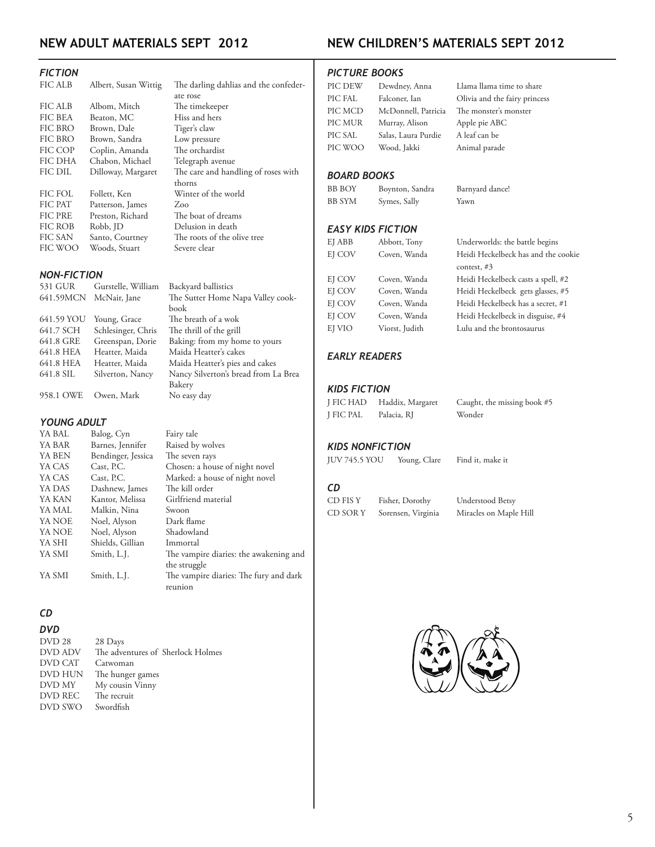# **NEW ADULT MATERIALS Sept 2012**

### *FICTION*

| <b>FIC ALB</b> | Albert, Susan Wittig | The darling dahlias and the confeder- |
|----------------|----------------------|---------------------------------------|
|                |                      | ate rose                              |
| FIC ALB        | Albom, Mitch         | The timekeeper                        |
| <b>FIC BEA</b> | Beaton, MC           | Hiss and hers                         |
| FIC BRO        | Brown, Dale          | Tiger's claw                          |
| FIC BRO        | Brown, Sandra        | Low pressure                          |
| FIC COP        | Coplin, Amanda       | The orchardist                        |
| <b>FIC DHA</b> | Chabon, Michael      | Telegraph avenue                      |
| <b>FIC DIL</b> | Dilloway, Margaret   | The care and handling of roses with   |
|                |                      | thorns                                |
| FIC FOL        | Follett, Ken         | Winter of the world                   |
| FIC PAT        | Patterson, James     | Zoo                                   |
| <b>FIC PRE</b> | Preston, Richard     | The boat of dreams                    |
| FIC ROB        | Robb, JD             | Delusion in death                     |
| <b>FIC SAN</b> | Santo, Courtney      | The roots of the olive tree           |
| FIC WOO        | Woods, Stuart        | Severe clear                          |
|                |                      |                                       |

#### *NON-FICTION*

| <b>NON-FICTION</b> |                    |                                      |  |
|--------------------|--------------------|--------------------------------------|--|
| 531 GUR            | Gurstelle, William | Backyard ballistics                  |  |
| 641.59MCN          | McNair, Jane       | The Sutter Home Napa Valley cook-    |  |
|                    |                    | book                                 |  |
| 641.59 YOU         | Young, Grace       | The breath of a wok                  |  |
| 641.7 SCH          | Schlesinger, Chris | The thrill of the grill              |  |
| 641.8 GRE          | Greenspan, Dorie   | Baking: from my home to yours        |  |
| 641.8 HEA          | Heatter, Maida     | Maida Heatter's cakes                |  |
| 641.8 HEA          | Heatter, Maida     | Maida Heatter's pies and cakes       |  |
| 641.8 SIL          | Silverton, Nancy   | Nancy Silverton's bread from La Brea |  |
|                    |                    | Bakery                               |  |
| 958.1 OWE          | Owen, Mark         | No easy day                          |  |

#### *YOUNG ADULT*

| YA BAL | Balog, Cyn         | Fairy tale                             |
|--------|--------------------|----------------------------------------|
| YA BAR | Barnes, Jennifer   | Raised by wolves                       |
| YA BEN | Bendinger, Jessica | The seven rays                         |
| YA CAS | Cast, P.C.         | Chosen: a house of night novel         |
| YA CAS | Cast, P.C.         | Marked: a house of night novel         |
| YA DAS | Dashnew, James     | The kill order                         |
| YA KAN | Kantor, Melissa    | Girlfriend material                    |
| YA MAL | Malkin, Nina       | Swoon                                  |
| YA NOE | Noel, Alyson       | Dark flame                             |
| YA NOE | Noel, Alyson       | Shadowland                             |
| YA SHI | Shields, Gillian   | Immortal                               |
| YA SMI | Smith, L.J.        | The vampire diaries: the awakening and |
|        |                    | the struggle                           |
| YA SMI | Smith, L.J.        | The vampire diaries: The fury and dark |
|        |                    | reunion                                |
|        |                    |                                        |

### *CD*

| DVD 28  | 28 Days                           |
|---------|-----------------------------------|
| DVD ADV | The adventures of Sherlock Holmes |
| DVD CAT | Catwoman                          |
| DVD HUN | The hunger games                  |
| DVD MY  | My cousin Vinny                   |
| DVD REC | The recruit                       |
| DVD SWO | Swordfish                         |
|         |                                   |

## **NEW CHILDREN's MATERIALS Sept 2012**

### *PICTURE BOOKS*

| PIC DEW | Dewdney, Anna       | Llama llama time to share     |
|---------|---------------------|-------------------------------|
| PIC FAL | Falconer, Ian       | Olivia and the fairy princess |
| PIC MCD | McDonnell, Patricia | The monster's monster         |
| PIC MUR | Murray, Alison      | Apple pie ABC                 |
| PIC SAL | Salas, Laura Purdie | A leaf can be                 |
| PIC WOO | Wood, Jakki         | Animal parade                 |

### *BOARD BOOKS*

BB BOY Boynton, Sandra Barnyard dance! BB SYM Symes, Sally Yawn

### *EASY KIDS FICTION*

| EJ ABB | Abbott, Tony   |
|--------|----------------|
| EJ COV | Coven, Wanda   |
|        |                |
| EJ COV | Coven, Wanda   |
| EJ COV | Coven, Wanda   |
| EJ COV | Coven, Wanda   |
| EJ COV | Coven, Wanda   |
| EJ VIO | Viorst, Judith |
|        |                |

### Underworlds: the battle begins Heidi Heckelbeck has and the cookie contest, #3 Heidi Heckelbeck casts a spell, #2 Heidi Heckelbeck gets glasses, #5 Heidi Heckelbeck has a secret, #1 Heidi Heckelbeck in disguise, #4 Lulu and the brontosaurus

### *EARLY READERS*

### *KIDS FICTION*

| J FIC HAD | Haddix, Margaret | Caught, the missing book #5 |
|-----------|------------------|-----------------------------|
| J FIC PAL | Palacia, RJ      | Wonder                      |

### *KIDS NONFICTION*

*CD*

JUV 745.5 YOU Young, Clare Find it, make it

CD FIS Y Fisher, Dorothy Understood Betsy CD SOR Y Sorensen, Virginia Miracles on Maple Hill